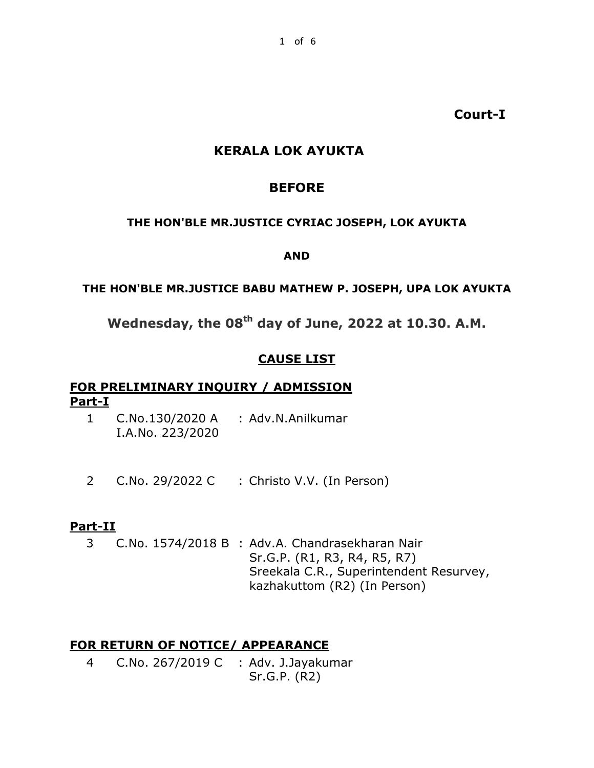**Court-I**

# **KERALA LOK AYUKTA**

# **BEFORE**

### **THE HON'BLE MR.JUSTICE CYRIAC JOSEPH, LOK AYUKTA**

#### **AND**

## **THE HON'BLE MR.JUSTICE BABU MATHEW P. JOSEPH, UPA LOK AYUKTA**

**Wednesday, the 08th day of June, 2022 at 10.30. A.M.**

## **CAUSE LIST**

## **FOR PRELIMINARY INQUIRY / ADMISSION Part-I**

- 1 C.No.130/2020 A : Adv.N.Anilkumar I.A.No. 223/2020
- 2 C.No. 29/2022 C : Christo V.V. (In Person)

## **Part-II**

3 C.No. 1574/2018 B : Adv.A. Chandrasekharan Nair Sr.G.P. (R1, R3, R4, R5, R7) Sreekala C.R., Superintendent Resurvey, kazhakuttom (R2) (In Person)

## **FOR RETURN OF NOTICE/ APPEARANCE**

4 C.No. 267/2019 C : Adv. J.Jayakumar Sr.G.P. (R2)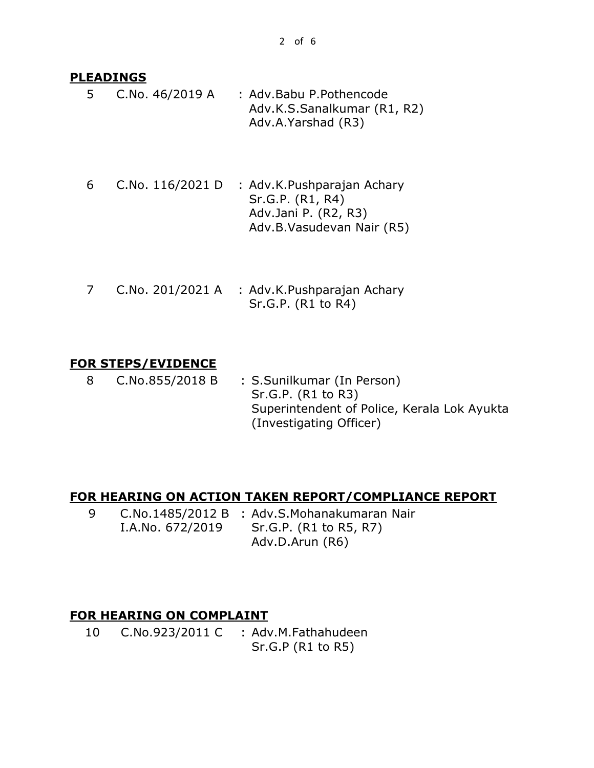## **PLEADINGS**

- 5 C.No. 46/2019 A : Adv.Babu P.Pothencode Adv.K.S.Sanalkumar (R1, R2) Adv.A.Yarshad (R3)
- 6 C.No. 116/2021 D : Adv.K.Pushparajan Achary Sr.G.P. (R1, R4) Adv.Jani P. (R2, R3) Adv.B.Vasudevan Nair (R5)
- 7 C.No. 201/2021 A : Adv.K.Pushparajan Achary Sr.G.P. (R1 to R4)

## **FOR STEPS/EVIDENCE**

8 C.No.855/2018 B : S.Sunilkumar (In Person) Sr.G.P. (R1 to R3) Superintendent of Police, Kerala Lok Ayukta (Investigating Officer)

## **FOR HEARING ON ACTION TAKEN REPORT/COMPLIANCE REPORT**

9 C.No.1485/2012 B : Adv.S.Mohanakumaran Nair I.A.No. 672/2019 Sr.G.P. (R1 to R5, R7) Adv.D.Arun (R6)

## **FOR HEARING ON COMPLAINT**

10 C.No.923/2011 C : Adv.M.Fathahudeen Sr.G.P (R1 to R5)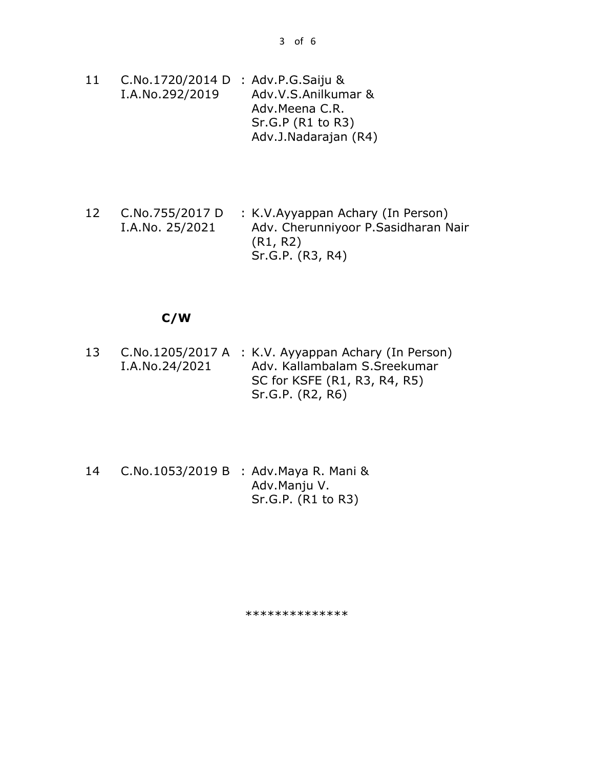- 11 C.No.1720/2014 D : Adv.P.G.Saiju & I.A.No.292/2019 Adv.V.S.Anilkumar & Adv.Meena C.R. Sr.G.P (R1 to R3) Adv.J.Nadarajan (R4)
- 12 C.No.755/2017 D I.A.No. 25/2021 : K.V.Ayyappan Achary (In Person) Adv. Cherunniyoor P.Sasidharan Nair (R1, R2) Sr.G.P. (R3, R4)

#### **C/W**

- 13 C.No.1205/2017 A : K.V. Ayyappan Achary (In Person) I.A.No.24/2021 Adv. Kallambalam S.Sreekumar SC for KSFE (R1, R3, R4, R5) Sr.G.P. (R2, R6)
- 14 C.No.1053/2019 B : Adv.Maya R. Mani & Adv.Manju V. Sr.G.P. (R1 to R3)

\*\*\*\*\*\*\*\*\*\*\*\*\*\*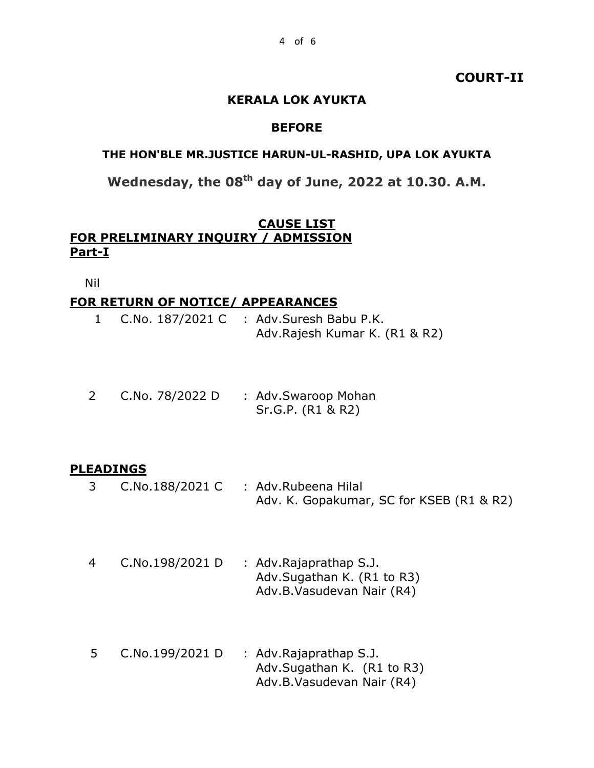## **COURT-II**

#### **KERALA LOK AYUKTA**

### **BEFORE**

#### **THE HON'BLE MR.JUSTICE HARUN-UL-RASHID, UPA LOK AYUKTA**

**Wednesday, the 08th day of June, 2022 at 10.30. A.M.**

### **CAUSE LIST FOR PRELIMINARY INQUIRY / ADMISSION Part-I**

Nil

#### **FOR RETURN OF NOTICE/ APPEARANCES**

|  | 1 C.No. 187/2021 C : Adv. Suresh Babu P.K. |
|--|--------------------------------------------|
|  | Adv. Rajesh Kumar K. (R1 & R2)             |

| C.No. 78/2022 D | : Adv.Swaroop Mohan |
|-----------------|---------------------|
|                 | Sr.G.P. (R1 & R2)   |

#### **PLEADINGS**

- 3 C.No.188/2021 C : Adv.Rubeena Hilal Adv. K. Gopakumar, SC for KSEB (R1 & R2)
- 4 C.No.198/2021 D : Adv.Rajaprathap S.J. Adv.Sugathan K. (R1 to R3) Adv.B.Vasudevan Nair (R4)
- 5 C.No.199/2021 D : Adv.Rajaprathap S.J. Adv.Sugathan K. (R1 to R3) Adv.B.Vasudevan Nair (R4)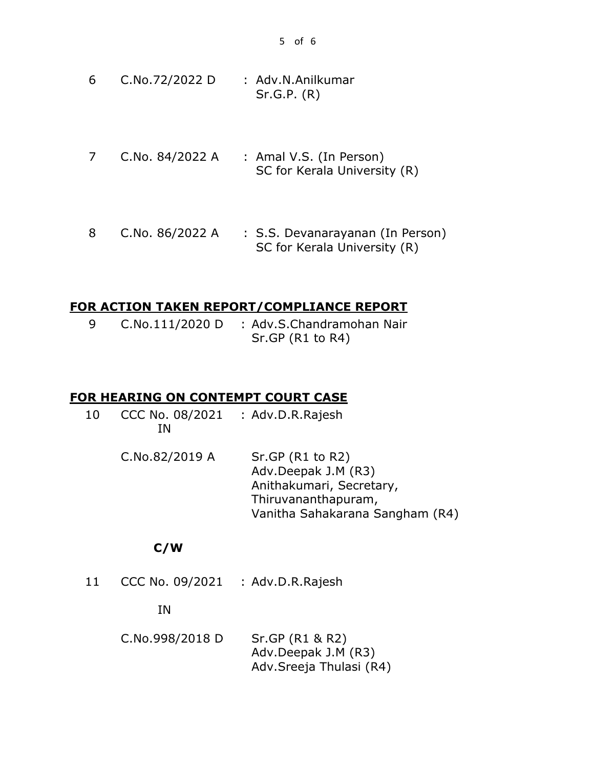- 6 C.No.72/2022 D : Adv.N.Anilkumar Sr.G.P. (R)
- 7 C.No. 84/2022 A : Amal V.S. (In Person) SC for Kerala University (R)
- 8 C.No. 86/2022 A : S.S. Devanarayanan (In Person) SC for Kerala University (R)

#### **FOR ACTION TAKEN REPORT/COMPLIANCE REPORT**

9 C.No.111/2020 D : Adv.S.Chandramohan Nair Sr.GP (R1 to R4)

#### **FOR HEARING ON CONTEMPT COURT CASE**

- 10 CCC No. 08/2021 IN : Adv.D.R.Rajesh
	- C.No.82/2019 A Sr.GP (R1 to R2) Adv.Deepak J.M (R3) Anithakumari, Secretary, Thiruvananthapuram, Vanitha Sahakarana Sangham (R4)

#### **C/W**

11 CCC No. 09/2021 : Adv.D.R.Rajesh

#### IN

C.No.998/2018 D Sr.GP (R1 & R2) Adv.Deepak J.M (R3) Adv.Sreeja Thulasi (R4)